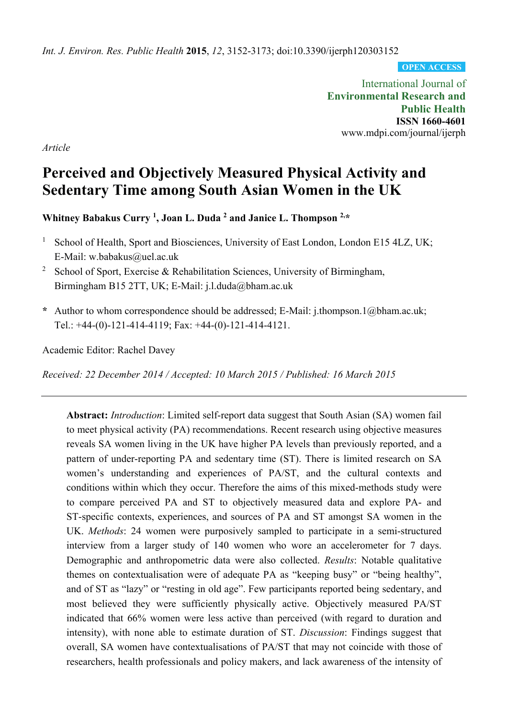*Int. J. Environ. Res. Public Health* **2015**, *12*, 3152-3173; doi:10.3390/ijerph120303152

**OPEN ACCESS**

International Journal of **Environmental Research and Public Health ISSN 1660-4601**  www.mdpi.com/journal/ijerph

*Article* 

# **Perceived and Objectively Measured Physical Activity and Sedentary Time among South Asian Women in the UK**

**Whitney Babakus Curry 1, Joan L. Duda 2 and Janice L. Thompson 2,\*** 

- <sup>1</sup> School of Health, Sport and Biosciences, University of East London, London E15 4LZ, UK; E-Mail: w.babakus@uel.ac.uk
- <sup>2</sup> School of Sport, Exercise & Rehabilitation Sciences, University of Birmingham, Birmingham B15 2TT, UK; E-Mail: j.l.duda@bham.ac.uk
- **\*** Author to whom correspondence should be addressed; E-Mail: j.thompson.1@bham.ac.uk; Tel.: +44-(0)-121-414-4119; Fax: +44-(0)-121-414-4121.

Academic Editor: Rachel Davey

*Received: 22 December 2014 / Accepted: 10 March 2015 / Published: 16 March 2015* 

**Abstract:** *Introduction*: Limited self-report data suggest that South Asian (SA) women fail to meet physical activity (PA) recommendations. Recent research using objective measures reveals SA women living in the UK have higher PA levels than previously reported, and a pattern of under-reporting PA and sedentary time (ST). There is limited research on SA women's understanding and experiences of PA/ST, and the cultural contexts and conditions within which they occur. Therefore the aims of this mixed-methods study were to compare perceived PA and ST to objectively measured data and explore PA- and ST-specific contexts, experiences, and sources of PA and ST amongst SA women in the UK. *Methods*: 24 women were purposively sampled to participate in a semi-structured interview from a larger study of 140 women who wore an accelerometer for 7 days. Demographic and anthropometric data were also collected. *Results*: Notable qualitative themes on contextualisation were of adequate PA as "keeping busy" or "being healthy", and of ST as "lazy" or "resting in old age". Few participants reported being sedentary, and most believed they were sufficiently physically active. Objectively measured PA/ST indicated that 66% women were less active than perceived (with regard to duration and intensity), with none able to estimate duration of ST. *Discussion*: Findings suggest that overall, SA women have contextualisations of PA/ST that may not coincide with those of researchers, health professionals and policy makers, and lack awareness of the intensity of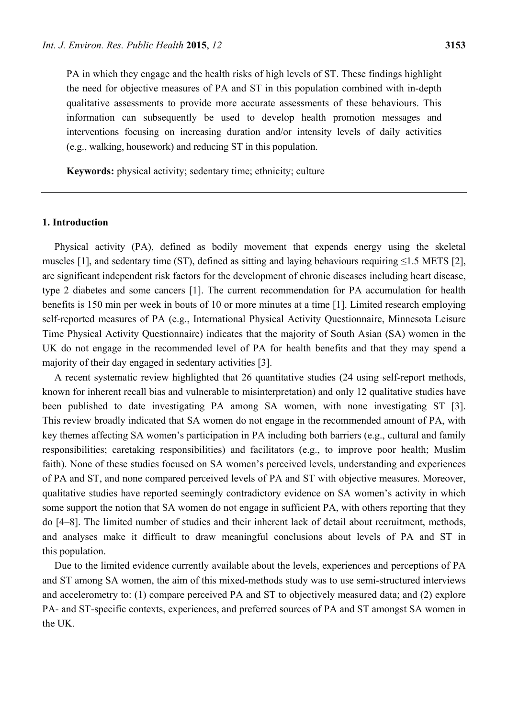PA in which they engage and the health risks of high levels of ST. These findings highlight the need for objective measures of PA and ST in this population combined with in-depth qualitative assessments to provide more accurate assessments of these behaviours. This information can subsequently be used to develop health promotion messages and interventions focusing on increasing duration and/or intensity levels of daily activities (e.g., walking, housework) and reducing ST in this population.

**Keywords:** physical activity; sedentary time; ethnicity; culture

## **1. Introduction**

Physical activity (PA), defined as bodily movement that expends energy using the skeletal muscles [1], and sedentary time (ST), defined as sitting and laying behaviours requiring  $\leq$ 1.5 METS [2], are significant independent risk factors for the development of chronic diseases including heart disease, type 2 diabetes and some cancers [1]. The current recommendation for PA accumulation for health benefits is 150 min per week in bouts of 10 or more minutes at a time [1]. Limited research employing self-reported measures of PA (e.g., International Physical Activity Questionnaire, Minnesota Leisure Time Physical Activity Questionnaire) indicates that the majority of South Asian (SA) women in the UK do not engage in the recommended level of PA for health benefits and that they may spend a majority of their day engaged in sedentary activities [3].

A recent systematic review highlighted that 26 quantitative studies (24 using self-report methods, known for inherent recall bias and vulnerable to misinterpretation) and only 12 qualitative studies have been published to date investigating PA among SA women, with none investigating ST [3]. This review broadly indicated that SA women do not engage in the recommended amount of PA, with key themes affecting SA women's participation in PA including both barriers (e.g., cultural and family responsibilities; caretaking responsibilities) and facilitators (e.g., to improve poor health; Muslim faith). None of these studies focused on SA women's perceived levels, understanding and experiences of PA and ST, and none compared perceived levels of PA and ST with objective measures. Moreover, qualitative studies have reported seemingly contradictory evidence on SA women's activity in which some support the notion that SA women do not engage in sufficient PA, with others reporting that they do [4–8]. The limited number of studies and their inherent lack of detail about recruitment, methods, and analyses make it difficult to draw meaningful conclusions about levels of PA and ST in this population.

Due to the limited evidence currently available about the levels, experiences and perceptions of PA and ST among SA women, the aim of this mixed-methods study was to use semi-structured interviews and accelerometry to: (1) compare perceived PA and ST to objectively measured data; and (2) explore PA- and ST-specific contexts, experiences, and preferred sources of PA and ST amongst SA women in the UK.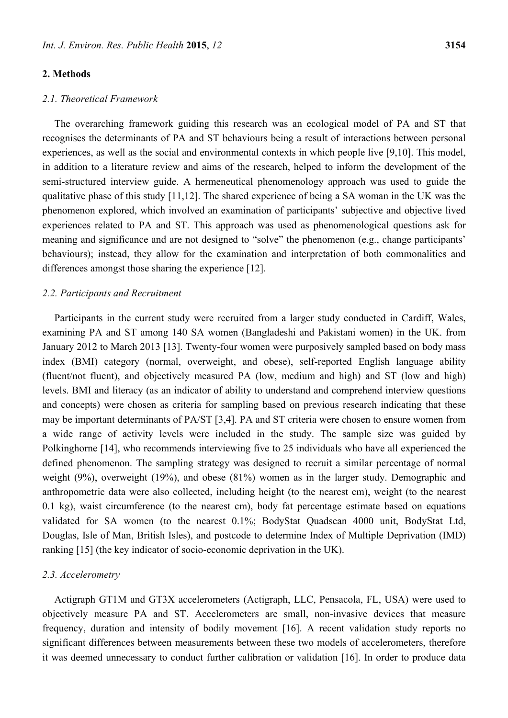#### **2. Methods**

## *2.1. Theoretical Framework*

The overarching framework guiding this research was an ecological model of PA and ST that recognises the determinants of PA and ST behaviours being a result of interactions between personal experiences, as well as the social and environmental contexts in which people live [9,10]. This model, in addition to a literature review and aims of the research, helped to inform the development of the semi-structured interview guide. A hermeneutical phenomenology approach was used to guide the qualitative phase of this study [11,12]. The shared experience of being a SA woman in the UK was the phenomenon explored, which involved an examination of participants' subjective and objective lived experiences related to PA and ST. This approach was used as phenomenological questions ask for meaning and significance and are not designed to "solve" the phenomenon (e.g., change participants' behaviours); instead, they allow for the examination and interpretation of both commonalities and differences amongst those sharing the experience [12].

## *2.2. Participants and Recruitment*

Participants in the current study were recruited from a larger study conducted in Cardiff, Wales, examining PA and ST among 140 SA women (Bangladeshi and Pakistani women) in the UK. from January 2012 to March 2013 [13]. Twenty-four women were purposively sampled based on body mass index (BMI) category (normal, overweight, and obese), self-reported English language ability (fluent/not fluent), and objectively measured PA (low, medium and high) and ST (low and high) levels. BMI and literacy (as an indicator of ability to understand and comprehend interview questions and concepts) were chosen as criteria for sampling based on previous research indicating that these may be important determinants of PA/ST [3,4]. PA and ST criteria were chosen to ensure women from a wide range of activity levels were included in the study. The sample size was guided by Polkinghorne [14], who recommends interviewing five to 25 individuals who have all experienced the defined phenomenon. The sampling strategy was designed to recruit a similar percentage of normal weight (9%), overweight (19%), and obese (81%) women as in the larger study. Demographic and anthropometric data were also collected, including height (to the nearest cm), weight (to the nearest 0.1 kg), waist circumference (to the nearest cm), body fat percentage estimate based on equations validated for SA women (to the nearest 0.1%; BodyStat Quadscan 4000 unit, BodyStat Ltd, Douglas, Isle of Man, British Isles), and postcode to determine Index of Multiple Deprivation (IMD) ranking [15] (the key indicator of socio-economic deprivation in the UK).

## *2.3. Accelerometry*

Actigraph GT1M and GT3X accelerometers (Actigraph, LLC, Pensacola, FL, USA) were used to objectively measure PA and ST. Accelerometers are small, non-invasive devices that measure frequency, duration and intensity of bodily movement [16]. A recent validation study reports no significant differences between measurements between these two models of accelerometers, therefore it was deemed unnecessary to conduct further calibration or validation [16]. In order to produce data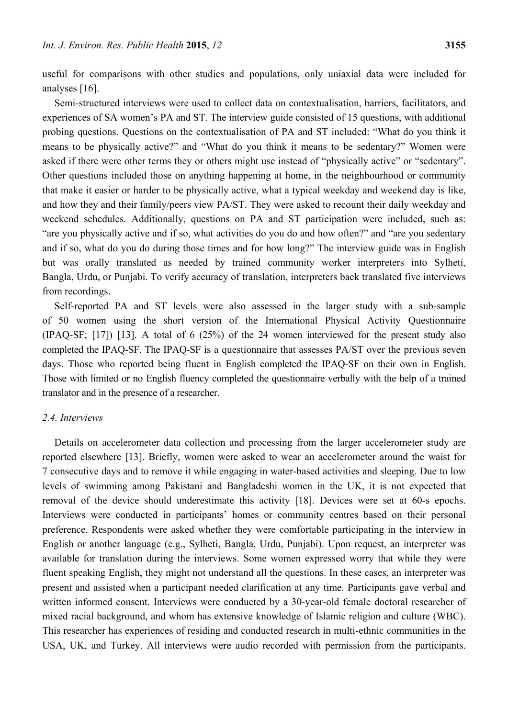useful for comparisons with other studies and populations, only uniaxial data were included for analyses [16].

Semi-structured interviews were used to collect data on contextualisation, barriers, facilitators, and experiences of SA women's PA and ST. The interview guide consisted of 15 questions, with additional probing questions. Questions on the contextualisation of PA and ST included: "What do you think it means to be physically active?" and "What do you think it means to be sedentary?" Women were asked if there were other terms they or others might use instead of "physically active" or "sedentary". Other questions included those on anything happening at home, in the neighbourhood or community that make it easier or harder to be physically active, what a typical weekday and weekend day is like, and how they and their family/peers view PA/ST. They were asked to recount their daily weekday and weekend schedules. Additionally, questions on PA and ST participation were included, such as: "are you physically active and if so, what activities do you do and how often?" and "are you sedentary and if so, what do you do during those times and for how long?" The interview guide was in English but was orally translated as needed by trained community worker interpreters into Sylheti, Bangla, Urdu, or Punjabi. To verify accuracy of translation, interpreters back translated five interviews from recordings.

Self-reported PA and ST levels were also assessed in the larger study with a sub-sample of 50 women using the short version of the International Physical Activity Questionnaire (IPAQ-SF; [17]) [13]. A total of 6 (25%) of the 24 women interviewed for the present study also completed the IPAQ-SF. The IPAQ-SF is a questionnaire that assesses PA/ST over the previous seven days. Those who reported being fluent in English completed the IPAQ-SF on their own in English. Those with limited or no English fluency completed the questionnaire verbally with the help of a trained translator and in the presence of a researcher.

## *2.4. Interviews*

Details on accelerometer data collection and processing from the larger accelerometer study are reported elsewhere [13]. Briefly, women were asked to wear an accelerometer around the waist for 7 consecutive days and to remove it while engaging in water-based activities and sleeping. Due to low levels of swimming among Pakistani and Bangladeshi women in the UK, it is not expected that removal of the device should underestimate this activity [18]. Devices were set at 60-s epochs. Interviews were conducted in participants' homes or community centres based on their personal preference. Respondents were asked whether they were comfortable participating in the interview in English or another language (e.g., Sylheti, Bangla, Urdu, Punjabi). Upon request, an interpreter was available for translation during the interviews. Some women expressed worry that while they were fluent speaking English, they might not understand all the questions. In these cases, an interpreter was present and assisted when a participant needed clarification at any time. Participants gave verbal and written informed consent. Interviews were conducted by a 30-year-old female doctoral researcher of mixed racial background, and whom has extensive knowledge of Islamic religion and culture (WBC). This researcher has experiences of residing and conducted research in multi-ethnic communities in the USA, UK, and Turkey. All interviews were audio recorded with permission from the participants.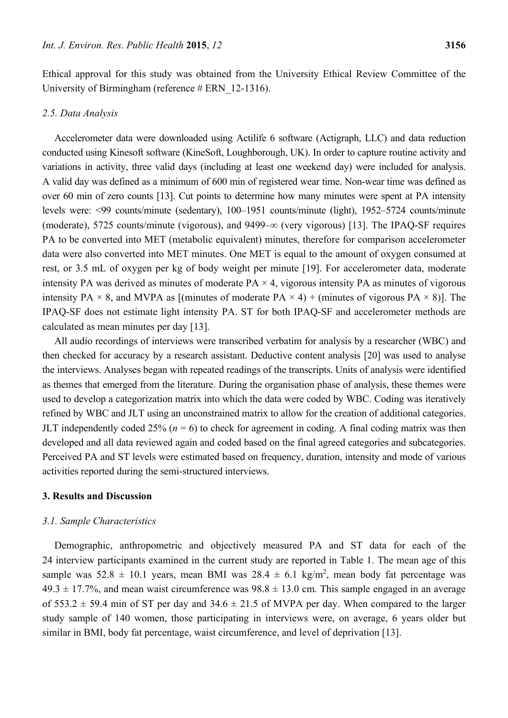Ethical approval for this study was obtained from the University Ethical Review Committee of the University of Birmingham (reference # ERN 12-1316).

#### *2.5. Data Analysis*

Accelerometer data were downloaded using Actilife 6 software (Actigraph, LLC) and data reduction conducted using Kinesoft software (KineSoft, Loughborough, UK). In order to capture routine activity and variations in activity, three valid days (including at least one weekend day) were included for analysis. A valid day was defined as a minimum of 600 min of registered wear time. Non-wear time was defined as over 60 min of zero counts [13]. Cut points to determine how many minutes were spent at PA intensity levels were: <99 counts/minute (sedentary), 100–1951 counts/minute (light), 1952–5724 counts/minute (moderate), 5725 counts/minute (vigorous), and 9499–∞ (very vigorous) [13]. The IPAQ-SF requires PA to be converted into MET (metabolic equivalent) minutes, therefore for comparison accelerometer data were also converted into MET minutes. One MET is equal to the amount of oxygen consumed at rest, or 3.5 mL of oxygen per kg of body weight per minute [19]. For accelerometer data, moderate intensity PA was derived as minutes of moderate  $PA \times 4$ , vigorous intensity PA as minutes of vigorous intensity PA  $\times$  8, and MVPA as [(minutes of moderate PA  $\times$  4) + (minutes of vigorous PA  $\times$  8)]. The IPAQ-SF does not estimate light intensity PA. ST for both IPAQ-SF and accelerometer methods are calculated as mean minutes per day [13].

All audio recordings of interviews were transcribed verbatim for analysis by a researcher (WBC) and then checked for accuracy by a research assistant. Deductive content analysis [20] was used to analyse the interviews. Analyses began with repeated readings of the transcripts. Units of analysis were identified as themes that emerged from the literature. During the organisation phase of analysis, these themes were used to develop a categorization matrix into which the data were coded by WBC. Coding was iteratively refined by WBC and JLT using an unconstrained matrix to allow for the creation of additional categories. JLT independently coded  $25\%$  ( $n = 6$ ) to check for agreement in coding. A final coding matrix was then developed and all data reviewed again and coded based on the final agreed categories and subcategories. Perceived PA and ST levels were estimated based on frequency, duration, intensity and mode of various activities reported during the semi-structured interviews.

#### **3. Results and Discussion**

## *3.1. Sample Characteristics*

Demographic, anthropometric and objectively measured PA and ST data for each of the 24 interview participants examined in the current study are reported in Table 1. The mean age of this sample was  $52.8 \pm 10.1$  years, mean BMI was  $28.4 \pm 6.1$  kg/m<sup>2</sup>, mean body fat percentage was  $49.3 \pm 17.7\%$ , and mean waist circumference was  $98.8 \pm 13.0$  cm. This sample engaged in an average of 553.2  $\pm$  59.4 min of ST per day and 34.6  $\pm$  21.5 of MVPA per day. When compared to the larger study sample of 140 women, those participating in interviews were, on average, 6 years older but similar in BMI, body fat percentage, waist circumference, and level of deprivation [13].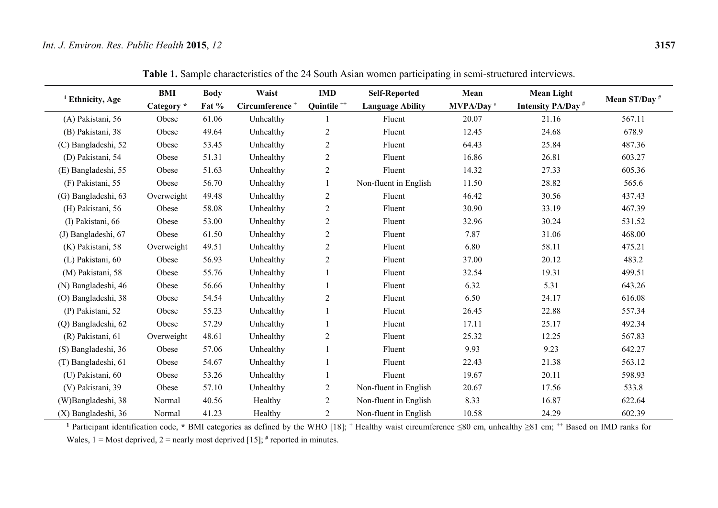| <sup>1</sup> Ethnicity, Age | BMI        | <b>Body</b> | Waist                      | <b>IMD</b>             | <b>Self-Reported</b>    | Mean              | <b>Mean Light</b>             |                          |
|-----------------------------|------------|-------------|----------------------------|------------------------|-------------------------|-------------------|-------------------------------|--------------------------|
|                             | Category * | Fat %       | Circumference <sup>+</sup> | Quintile <sup>++</sup> | <b>Language Ability</b> | <b>MVPA/Day</b> # | Intensity PA/Day <sup>#</sup> | Mean ST/Day <sup>#</sup> |
| (A) Pakistani, 56           | Obese      | 61.06       | Unhealthy                  |                        | Fluent                  | 20.07             | 21.16                         | 567.11                   |
| (B) Pakistani, 38           | Obese      | 49.64       | Unhealthy                  | $\mathfrak{2}$         | Fluent                  | 12.45             | 24.68                         | 678.9                    |
| (C) Bangladeshi, 52         | Obese      | 53.45       | Unhealthy                  | $\mathfrak{2}$         | Fluent                  | 64.43             | 25.84                         | 487.36                   |
| (D) Pakistani, 54           | Obese      | 51.31       | Unhealthy                  | $\mathbf{2}$           | Fluent                  | 16.86             | 26.81                         | 603.27                   |
| (E) Bangladeshi, 55         | Obese      | 51.63       | Unhealthy                  | $\mathbf{2}$           | Fluent                  | 14.32             | 27.33                         | 605.36                   |
| (F) Pakistani, 55           | Obese      | 56.70       | Unhealthy                  |                        | Non-fluent in English   | 11.50             | 28.82                         | 565.6                    |
| (G) Bangladeshi, 63         | Overweight | 49.48       | Unhealthy                  | $\mathbf{2}$           | Fluent                  | 46.42             | 30.56                         | 437.43                   |
| (H) Pakistani, 56           | Obese      | 58.08       | Unhealthy                  | $\overline{c}$         | Fluent                  | 30.90             | 33.19                         | 467.39                   |
| (I) Pakistani, 66           | Obese      | 53.00       | Unhealthy                  | $\boldsymbol{2}$       | Fluent                  | 32.96             | 30.24                         | 531.52                   |
| (J) Bangladeshi, 67         | Obese      | 61.50       | Unhealthy                  | $\overline{2}$         | Fluent                  | 7.87              | 31.06                         | 468.00                   |
| (K) Pakistani, 58           | Overweight | 49.51       | Unhealthy                  | $\overline{c}$         | Fluent                  | 6.80              | 58.11                         | 475.21                   |
| (L) Pakistani, 60           | Obese      | 56.93       | Unhealthy                  | $\sqrt{2}$             | Fluent                  | 37.00             | 20.12                         | 483.2                    |
| (M) Pakistani, 58           | Obese      | 55.76       | Unhealthy                  |                        | Fluent                  | 32.54             | 19.31                         | 499.51                   |
| (N) Bangladeshi, 46         | Obese      | 56.66       | Unhealthy                  |                        | Fluent                  | 6.32              | 5.31                          | 643.26                   |
| (O) Bangladeshi, 38         | Obese      | 54.54       | Unhealthy                  | $\mathbf{2}$           | Fluent                  | 6.50              | 24.17                         | 616.08                   |
| (P) Pakistani, 52           | Obese      | 55.23       | Unhealthy                  |                        | Fluent                  | 26.45             | 22.88                         | 557.34                   |
| (Q) Bangladeshi, 62         | Obese      | 57.29       | Unhealthy                  |                        | Fluent                  | 17.11             | 25.17                         | 492.34                   |
| (R) Pakistani, 61           | Overweight | 48.61       | Unhealthy                  | $\overline{c}$         | Fluent                  | 25.32             | 12.25                         | 567.83                   |
| (S) Bangladeshi, 36         | Obese      | 57.06       | Unhealthy                  |                        | Fluent                  | 9.93              | 9.23                          | 642.27                   |
| (T) Bangladeshi, 61         | Obese      | 54.67       | Unhealthy                  |                        | Fluent                  | 22.43             | 21.38                         | 563.12                   |
| (U) Pakistani, 60           | Obese      | 53.26       | Unhealthy                  |                        | Fluent                  | 19.67             | 20.11                         | 598.93                   |
| (V) Pakistani, 39           | Obese      | 57.10       | Unhealthy                  | $\mathfrak{2}$         | Non-fluent in English   | 20.67             | 17.56                         | 533.8                    |
| (W)Bangladeshi, 38          | Normal     | 40.56       | Healthy                    | $\overline{2}$         | Non-fluent in English   | 8.33              | 16.87                         | 622.64                   |
| (X) Bangladeshi, 36         | Normal     | 41.23       | Healthy                    | $\overline{2}$         | Non-fluent in English   | 10.58             | 24.29                         | 602.39                   |

**Table 1.** Sample characteristics of the 24 South Asian women participating in semi-structured interviews.

**<sup>1</sup>** Participant identification code, **\*** BMI categories as defined by the WHO [18]; **<sup>+</sup>** Healthy waist circumference ≤80 cm, unhealthy ≥81 cm; **++** Based on IMD ranks for Wales,  $1 =$  Most deprived,  $2 =$  nearly most deprived [15];  $#$  reported in minutes.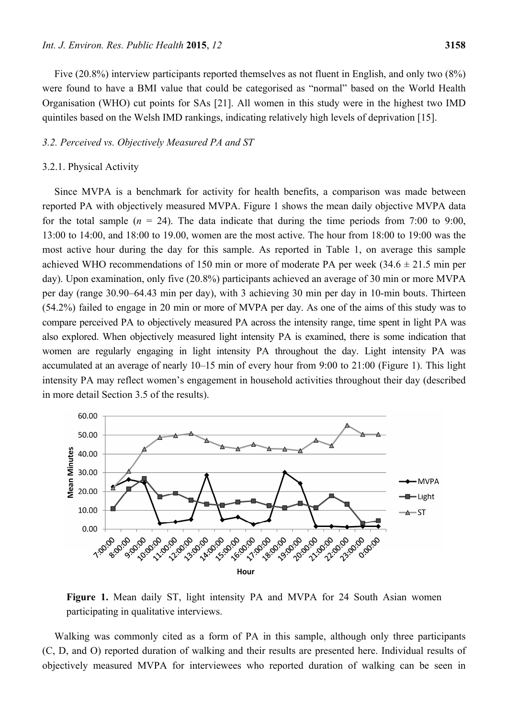Five (20.8%) interview participants reported themselves as not fluent in English, and only two (8%) were found to have a BMI value that could be categorised as "normal" based on the World Health Organisation (WHO) cut points for SAs [21]. All women in this study were in the highest two IMD quintiles based on the Welsh IMD rankings, indicating relatively high levels of deprivation [15].

#### *3.2. Perceived vs. Objectively Measured PA and ST*

#### 3.2.1. Physical Activity

Since MVPA is a benchmark for activity for health benefits, a comparison was made between reported PA with objectively measured MVPA. Figure 1 shows the mean daily objective MVPA data for the total sample  $(n = 24)$ . The data indicate that during the time periods from 7:00 to 9:00, 13:00 to 14:00, and 18:00 to 19.00, women are the most active. The hour from 18:00 to 19:00 was the most active hour during the day for this sample. As reported in Table 1, on average this sample achieved WHO recommendations of 150 min or more of moderate PA per week  $(34.6 \pm 21.5 \text{ min per})$ day). Upon examination, only five (20.8%) participants achieved an average of 30 min or more MVPA per day (range 30.90–64.43 min per day), with 3 achieving 30 min per day in 10-min bouts. Thirteen (54.2%) failed to engage in 20 min or more of MVPA per day. As one of the aims of this study was to compare perceived PA to objectively measured PA across the intensity range, time spent in light PA was also explored. When objectively measured light intensity PA is examined, there is some indication that women are regularly engaging in light intensity PA throughout the day. Light intensity PA was accumulated at an average of nearly 10–15 min of every hour from 9:00 to 21:00 (Figure 1). This light intensity PA may reflect women's engagement in household activities throughout their day (described in more detail Section 3.5 of the results).



**Figure 1.** Mean daily ST, light intensity PA and MVPA for 24 South Asian women participating in qualitative interviews.

Walking was commonly cited as a form of PA in this sample, although only three participants (C, D, and O) reported duration of walking and their results are presented here. Individual results of objectively measured MVPA for interviewees who reported duration of walking can be seen in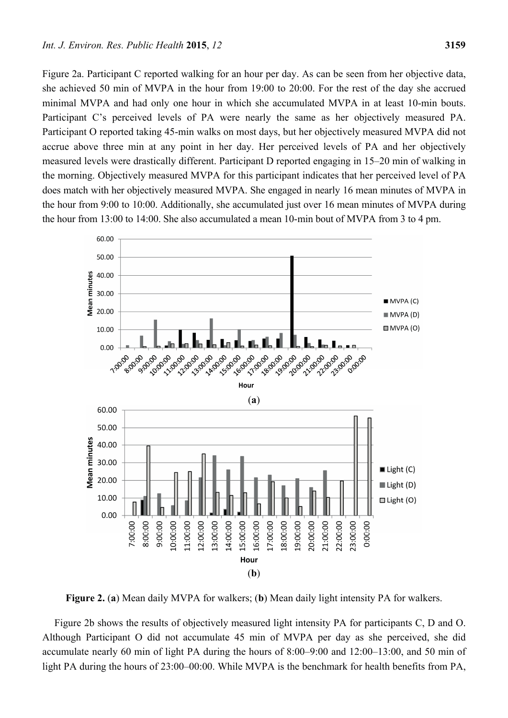Figure 2a. Participant C reported walking for an hour per day. As can be seen from her objective data, she achieved 50 min of MVPA in the hour from 19:00 to 20:00. For the rest of the day she accrued minimal MVPA and had only one hour in which she accumulated MVPA in at least 10-min bouts. Participant C's perceived levels of PA were nearly the same as her objectively measured PA. Participant O reported taking 45-min walks on most days, but her objectively measured MVPA did not accrue above three min at any point in her day. Her perceived levels of PA and her objectively measured levels were drastically different. Participant D reported engaging in 15–20 min of walking in the morning. Objectively measured MVPA for this participant indicates that her perceived level of PA does match with her objectively measured MVPA. She engaged in nearly 16 mean minutes of MVPA in the hour from 9:00 to 10:00. Additionally, she accumulated just over 16 mean minutes of MVPA during the hour from 13:00 to 14:00. She also accumulated a mean 10-min bout of MVPA from 3 to 4 pm.



**Figure 2.** (**a**) Mean daily MVPA for walkers; (**b**) Mean daily light intensity PA for walkers.

Figure 2b shows the results of objectively measured light intensity PA for participants C, D and O. Although Participant O did not accumulate 45 min of MVPA per day as she perceived, she did accumulate nearly 60 min of light PA during the hours of 8:00–9:00 and 12:00–13:00, and 50 min of light PA during the hours of 23:00–00:00. While MVPA is the benchmark for health benefits from PA,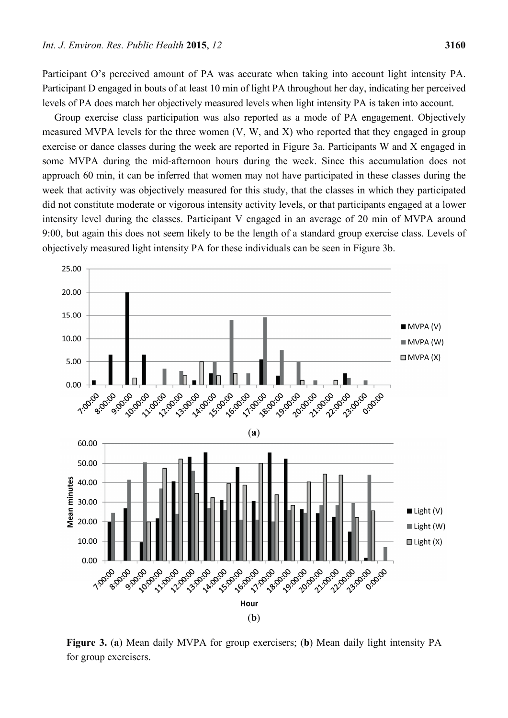Participant O's perceived amount of PA was accurate when taking into account light intensity PA. Participant D engaged in bouts of at least 10 min of light PA throughout her day, indicating her perceived levels of PA does match her objectively measured levels when light intensity PA is taken into account.

Group exercise class participation was also reported as a mode of PA engagement. Objectively measured MVPA levels for the three women (V, W, and X) who reported that they engaged in group exercise or dance classes during the week are reported in Figure 3a. Participants W and X engaged in some MVPA during the mid-afternoon hours during the week. Since this accumulation does not approach 60 min, it can be inferred that women may not have participated in these classes during the week that activity was objectively measured for this study, that the classes in which they participated did not constitute moderate or vigorous intensity activity levels, or that participants engaged at a lower intensity level during the classes. Participant V engaged in an average of 20 min of MVPA around 9:00, but again this does not seem likely to be the length of a standard group exercise class. Levels of objectively measured light intensity PA for these individuals can be seen in Figure 3b.



**Figure 3.** (**a**) Mean daily MVPA for group exercisers; (**b**) Mean daily light intensity PA for group exercisers.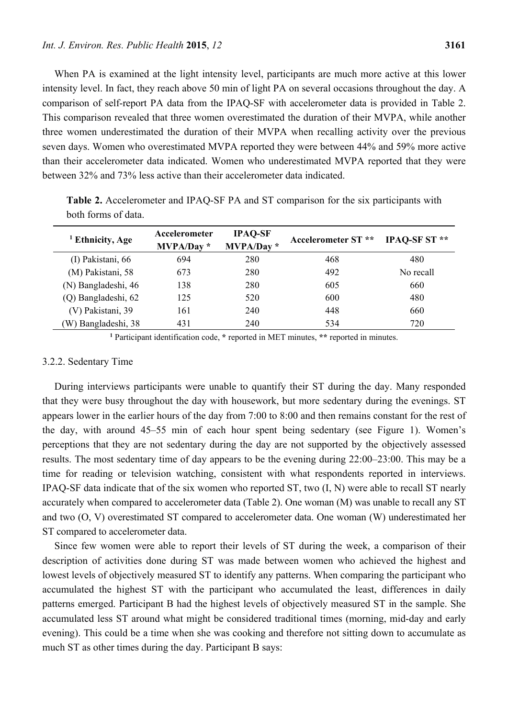When PA is examined at the light intensity level, participants are much more active at this lower intensity level. In fact, they reach above 50 min of light PA on several occasions throughout the day. A comparison of self-report PA data from the IPAQ-SF with accelerometer data is provided in Table 2. This comparison revealed that three women overestimated the duration of their MVPA, while another three women underestimated the duration of their MVPA when recalling activity over the previous seven days. Women who overestimated MVPA reported they were between 44% and 59% more active than their accelerometer data indicated. Women who underestimated MVPA reported that they were between 32% and 73% less active than their accelerometer data indicated.

| <sup>1</sup> Ethnicity, Age | Accelerometer<br>MVPA/Day* | <b>IPAQ-SF</b><br>$MVPA/Day *$ | <b>Accelerometer ST **</b> | IPAO-SF ST <sup>**</sup> |
|-----------------------------|----------------------------|--------------------------------|----------------------------|--------------------------|
| (I) Pakistani, 66           | 694                        | 280                            | 468                        | 480                      |
| (M) Pakistani, 58           | 673                        | 280                            | 492                        | No recall                |
| (N) Bangladeshi, 46         | 138                        | 280                            | 605                        | 660                      |
| (Q) Bangladeshi, 62         | 125                        | 520                            | 600                        | 480                      |
| (V) Pakistani, 39           | 161                        | 240                            | 448                        | 660                      |
| (W) Bangladeshi, 38         | 431                        | 240                            | 534                        | 720                      |

**Table 2.** Accelerometer and IPAQ-SF PA and ST comparison for the six participants with both forms of data.

**1** Participant identification code, **\*** reported in MET minutes, **\*\*** reported in minutes.

# 3.2.2. Sedentary Time

During interviews participants were unable to quantify their ST during the day. Many responded that they were busy throughout the day with housework, but more sedentary during the evenings. ST appears lower in the earlier hours of the day from 7:00 to 8:00 and then remains constant for the rest of the day, with around 45–55 min of each hour spent being sedentary (see Figure 1). Women's perceptions that they are not sedentary during the day are not supported by the objectively assessed results. The most sedentary time of day appears to be the evening during 22:00–23:00. This may be a time for reading or television watching, consistent with what respondents reported in interviews. IPAQ-SF data indicate that of the six women who reported ST, two (I, N) were able to recall ST nearly accurately when compared to accelerometer data (Table 2). One woman (M) was unable to recall any ST and two (O, V) overestimated ST compared to accelerometer data. One woman (W) underestimated her ST compared to accelerometer data.

Since few women were able to report their levels of ST during the week, a comparison of their description of activities done during ST was made between women who achieved the highest and lowest levels of objectively measured ST to identify any patterns. When comparing the participant who accumulated the highest ST with the participant who accumulated the least, differences in daily patterns emerged. Participant B had the highest levels of objectively measured ST in the sample. She accumulated less ST around what might be considered traditional times (morning, mid-day and early evening). This could be a time when she was cooking and therefore not sitting down to accumulate as much ST as other times during the day. Participant B says: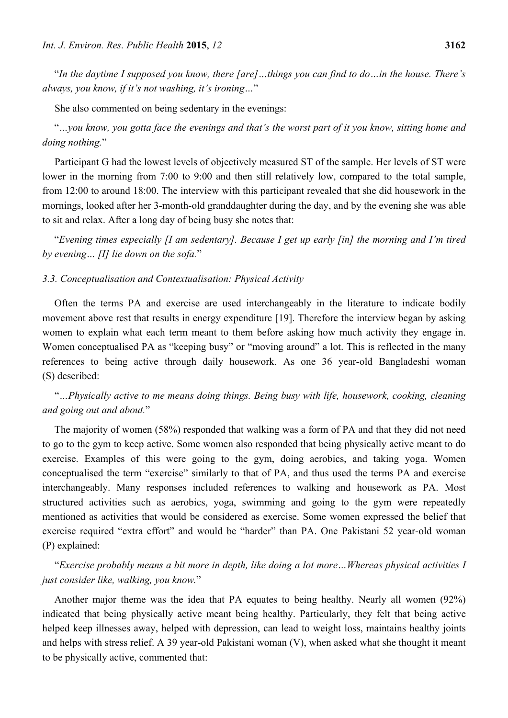"*In the daytime I supposed you know, there [are]…things you can find to do…in the house. There's always, you know, if it's not washing, it's ironing…*"

She also commented on being sedentary in the evenings:

"*…you know, you gotta face the evenings and that's the worst part of it you know, sitting home and doing nothing.*"

Participant G had the lowest levels of objectively measured ST of the sample. Her levels of ST were lower in the morning from 7:00 to 9:00 and then still relatively low, compared to the total sample, from 12:00 to around 18:00. The interview with this participant revealed that she did housework in the mornings, looked after her 3-month-old granddaughter during the day, and by the evening she was able to sit and relax. After a long day of being busy she notes that:

"*Evening times especially [I am sedentary]. Because I get up early [in] the morning and I'm tired by evening… [I] lie down on the sofa.*"

## *3.3. Conceptualisation and Contextualisation: Physical Activity*

Often the terms PA and exercise are used interchangeably in the literature to indicate bodily movement above rest that results in energy expenditure [19]. Therefore the interview began by asking women to explain what each term meant to them before asking how much activity they engage in. Women conceptualised PA as "keeping busy" or "moving around" a lot. This is reflected in the many references to being active through daily housework. As one 36 year-old Bangladeshi woman (S) described:

"*…Physically active to me means doing things. Being busy with life, housework, cooking, cleaning and going out and about.*"

The majority of women (58%) responded that walking was a form of PA and that they did not need to go to the gym to keep active. Some women also responded that being physically active meant to do exercise. Examples of this were going to the gym, doing aerobics, and taking yoga. Women conceptualised the term "exercise" similarly to that of PA, and thus used the terms PA and exercise interchangeably. Many responses included references to walking and housework as PA. Most structured activities such as aerobics, yoga, swimming and going to the gym were repeatedly mentioned as activities that would be considered as exercise. Some women expressed the belief that exercise required "extra effort" and would be "harder" than PA. One Pakistani 52 year-old woman (P) explained:

"*Exercise probably means a bit more in depth, like doing a lot more…Whereas physical activities I just consider like, walking, you know.*"

Another major theme was the idea that PA equates to being healthy. Nearly all women (92%) indicated that being physically active meant being healthy. Particularly, they felt that being active helped keep illnesses away, helped with depression, can lead to weight loss, maintains healthy joints and helps with stress relief. A 39 year-old Pakistani woman (V), when asked what she thought it meant to be physically active, commented that: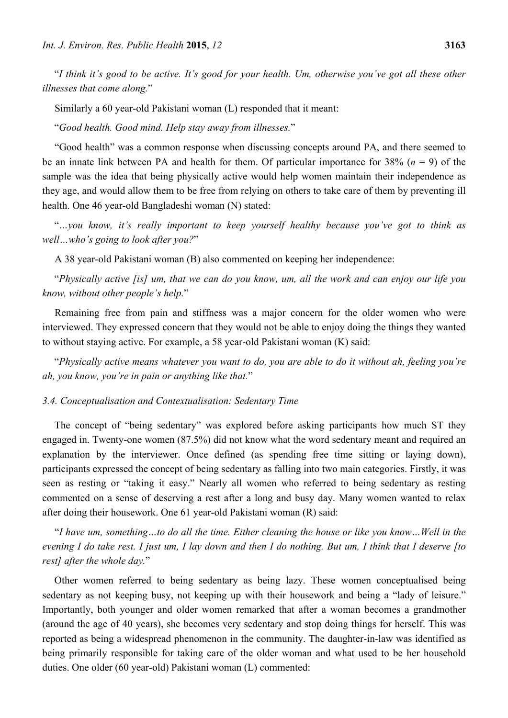"*I think it's good to be active. It's good for your health. Um, otherwise you've got all these other illnesses that come along.*"

Similarly a 60 year-old Pakistani woman (L) responded that it meant:

"*Good health. Good mind. Help stay away from illnesses.*"

"Good health" was a common response when discussing concepts around PA, and there seemed to be an innate link between PA and health for them. Of particular importance for 38% (*n* = 9) of the sample was the idea that being physically active would help women maintain their independence as they age, and would allow them to be free from relying on others to take care of them by preventing ill health. One 46 year-old Bangladeshi woman (N) stated:

"*…you know, it's really important to keep yourself healthy because you've got to think as well…who's going to look after you?*"

A 38 year-old Pakistani woman (B) also commented on keeping her independence:

"*Physically active [is] um, that we can do you know, um, all the work and can enjoy our life you know, without other people's help.*"

Remaining free from pain and stiffness was a major concern for the older women who were interviewed. They expressed concern that they would not be able to enjoy doing the things they wanted to without staying active. For example, a 58 year-old Pakistani woman (K) said:

"*Physically active means whatever you want to do, you are able to do it without ah, feeling you're ah, you know, you're in pain or anything like that.*"

## *3.4. Conceptualisation and Contextualisation: Sedentary Time*

The concept of "being sedentary" was explored before asking participants how much ST they engaged in. Twenty-one women (87.5%) did not know what the word sedentary meant and required an explanation by the interviewer. Once defined (as spending free time sitting or laying down), participants expressed the concept of being sedentary as falling into two main categories. Firstly, it was seen as resting or "taking it easy." Nearly all women who referred to being sedentary as resting commented on a sense of deserving a rest after a long and busy day. Many women wanted to relax after doing their housework. One 61 year-old Pakistani woman (R) said:

"*I have um, something…to do all the time. Either cleaning the house or like you know…Well in the evening I do take rest. I just um, I lay down and then I do nothing. But um, I think that I deserve [to rest] after the whole day.*"

Other women referred to being sedentary as being lazy. These women conceptualised being sedentary as not keeping busy, not keeping up with their housework and being a "lady of leisure." Importantly, both younger and older women remarked that after a woman becomes a grandmother (around the age of 40 years), she becomes very sedentary and stop doing things for herself. This was reported as being a widespread phenomenon in the community. The daughter-in-law was identified as being primarily responsible for taking care of the older woman and what used to be her household duties. One older (60 year-old) Pakistani woman (L) commented: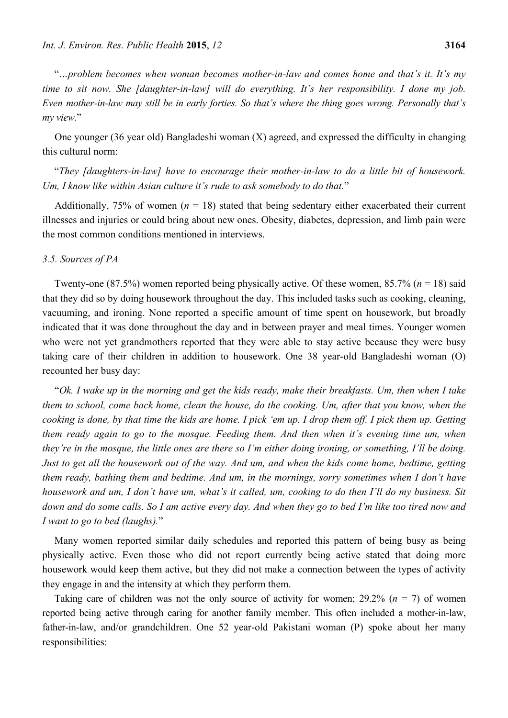"*…problem becomes when woman becomes mother-in-law and comes home and that's it. It's my time to sit now. She [daughter-in-law] will do everything. It's her responsibility. I done my job. Even mother-in-law may still be in early forties. So that's where the thing goes wrong. Personally that's my view.*"

One younger (36 year old) Bangladeshi woman (X) agreed, and expressed the difficulty in changing this cultural norm:

"*They [daughters-in-law] have to encourage their mother-in-law to do a little bit of housework. Um, I know like within Asian culture it's rude to ask somebody to do that.*"

Additionally, 75% of women  $(n = 18)$  stated that being sedentary either exacerbated their current illnesses and injuries or could bring about new ones. Obesity, diabetes, depression, and limb pain were the most common conditions mentioned in interviews.

## *3.5. Sources of PA*

Twenty-one (87.5%) women reported being physically active. Of these women, 85.7% (*n* = 18) said that they did so by doing housework throughout the day. This included tasks such as cooking, cleaning, vacuuming, and ironing. None reported a specific amount of time spent on housework, but broadly indicated that it was done throughout the day and in between prayer and meal times. Younger women who were not yet grandmothers reported that they were able to stay active because they were busy taking care of their children in addition to housework. One 38 year-old Bangladeshi woman (O) recounted her busy day:

"*Ok. I wake up in the morning and get the kids ready, make their breakfasts. Um, then when I take them to school, come back home, clean the house, do the cooking. Um, after that you know, when the cooking is done, by that time the kids are home. I pick 'em up. I drop them off. I pick them up. Getting them ready again to go to the mosque. Feeding them. And then when it's evening time um, when they're in the mosque, the little ones are there so I'm either doing ironing, or something, I'll be doing. Just to get all the housework out of the way. And um, and when the kids come home, bedtime, getting them ready, bathing them and bedtime. And um, in the mornings, sorry sometimes when I don't have housework and um, I don't have um, what's it called, um, cooking to do then I'll do my business. Sit down and do some calls. So I am active every day. And when they go to bed I'm like too tired now and I want to go to bed (laughs).*"

Many women reported similar daily schedules and reported this pattern of being busy as being physically active. Even those who did not report currently being active stated that doing more housework would keep them active, but they did not make a connection between the types of activity they engage in and the intensity at which they perform them.

Taking care of children was not the only source of activity for women;  $29.2\%$  ( $n = 7$ ) of women reported being active through caring for another family member. This often included a mother-in-law, father-in-law, and/or grandchildren. One 52 year-old Pakistani woman (P) spoke about her many responsibilities: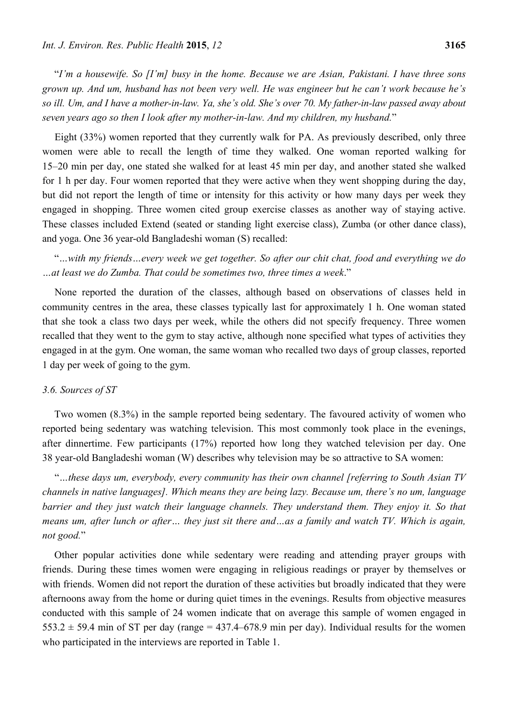"*I'm a housewife. So [I'm] busy in the home. Because we are Asian, Pakistani. I have three sons grown up. And um, husband has not been very well. He was engineer but he can't work because he's so ill. Um, and I have a mother-in-law. Ya, she's old. She's over 70. My father-in-law passed away about seven years ago so then I look after my mother-in-law. And my children, my husband.*"

Eight (33%) women reported that they currently walk for PA. As previously described, only three women were able to recall the length of time they walked. One woman reported walking for 15–20 min per day, one stated she walked for at least 45 min per day, and another stated she walked for 1 h per day. Four women reported that they were active when they went shopping during the day, but did not report the length of time or intensity for this activity or how many days per week they engaged in shopping. Three women cited group exercise classes as another way of staying active. These classes included Extend (seated or standing light exercise class), Zumba (or other dance class), and yoga. One 36 year-old Bangladeshi woman (S) recalled:

"*…with my friends…every week we get together. So after our chit chat, food and everything we do …at least we do Zumba. That could be sometimes two, three times a week*."

None reported the duration of the classes, although based on observations of classes held in community centres in the area, these classes typically last for approximately 1 h. One woman stated that she took a class two days per week, while the others did not specify frequency. Three women recalled that they went to the gym to stay active, although none specified what types of activities they engaged in at the gym. One woman, the same woman who recalled two days of group classes, reported 1 day per week of going to the gym.

## *3.6. Sources of ST*

Two women (8.3%) in the sample reported being sedentary. The favoured activity of women who reported being sedentary was watching television. This most commonly took place in the evenings, after dinnertime. Few participants (17%) reported how long they watched television per day. One 38 year-old Bangladeshi woman (W) describes why television may be so attractive to SA women:

"*…these days um, everybody, every community has their own channel [referring to South Asian TV channels in native languages]. Which means they are being lazy. Because um, there's no um, language barrier and they just watch their language channels. They understand them. They enjoy it. So that means um, after lunch or after… they just sit there and…as a family and watch TV. Which is again, not good.*"

Other popular activities done while sedentary were reading and attending prayer groups with friends. During these times women were engaging in religious readings or prayer by themselves or with friends. Women did not report the duration of these activities but broadly indicated that they were afternoons away from the home or during quiet times in the evenings. Results from objective measures conducted with this sample of 24 women indicate that on average this sample of women engaged in  $553.2 \pm 59.4$  min of ST per day (range = 437.4–678.9 min per day). Individual results for the women who participated in the interviews are reported in Table 1.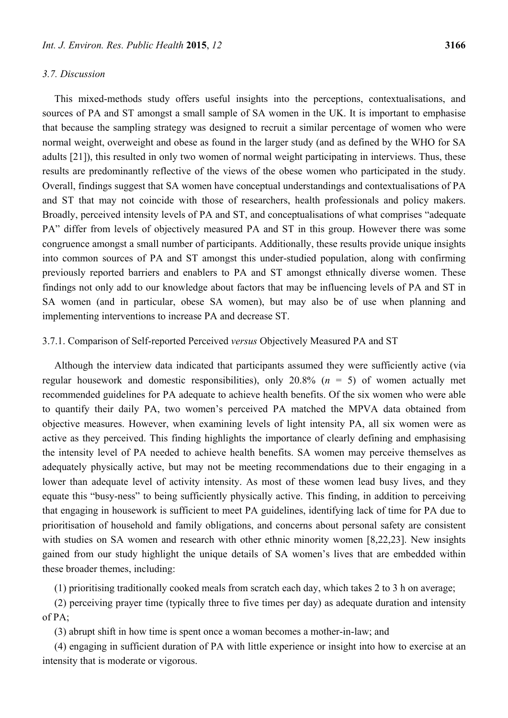## *3.7. Discussion*

This mixed-methods study offers useful insights into the perceptions, contextualisations, and sources of PA and ST amongst a small sample of SA women in the UK. It is important to emphasise that because the sampling strategy was designed to recruit a similar percentage of women who were normal weight, overweight and obese as found in the larger study (and as defined by the WHO for SA adults [21]), this resulted in only two women of normal weight participating in interviews. Thus, these results are predominantly reflective of the views of the obese women who participated in the study. Overall, findings suggest that SA women have conceptual understandings and contextualisations of PA and ST that may not coincide with those of researchers, health professionals and policy makers. Broadly, perceived intensity levels of PA and ST, and conceptualisations of what comprises "adequate PA" differ from levels of objectively measured PA and ST in this group. However there was some congruence amongst a small number of participants. Additionally, these results provide unique insights into common sources of PA and ST amongst this under-studied population, along with confirming previously reported barriers and enablers to PA and ST amongst ethnically diverse women. These findings not only add to our knowledge about factors that may be influencing levels of PA and ST in SA women (and in particular, obese SA women), but may also be of use when planning and implementing interventions to increase PA and decrease ST.

# 3.7.1. Comparison of Self-reported Perceived *versus* Objectively Measured PA and ST

Although the interview data indicated that participants assumed they were sufficiently active (via regular housework and domestic responsibilities), only 20.8% (*n* = 5) of women actually met recommended guidelines for PA adequate to achieve health benefits. Of the six women who were able to quantify their daily PA, two women's perceived PA matched the MPVA data obtained from objective measures. However, when examining levels of light intensity PA, all six women were as active as they perceived. This finding highlights the importance of clearly defining and emphasising the intensity level of PA needed to achieve health benefits. SA women may perceive themselves as adequately physically active, but may not be meeting recommendations due to their engaging in a lower than adequate level of activity intensity. As most of these women lead busy lives, and they equate this "busy-ness" to being sufficiently physically active. This finding, in addition to perceiving that engaging in housework is sufficient to meet PA guidelines, identifying lack of time for PA due to prioritisation of household and family obligations, and concerns about personal safety are consistent with studies on SA women and research with other ethnic minority women [8,22,23]. New insights gained from our study highlight the unique details of SA women's lives that are embedded within these broader themes, including:

(1) prioritising traditionally cooked meals from scratch each day, which takes 2 to 3 h on average;

(2) perceiving prayer time (typically three to five times per day) as adequate duration and intensity of PA;

(3) abrupt shift in how time is spent once a woman becomes a mother-in-law; and

(4) engaging in sufficient duration of PA with little experience or insight into how to exercise at an intensity that is moderate or vigorous.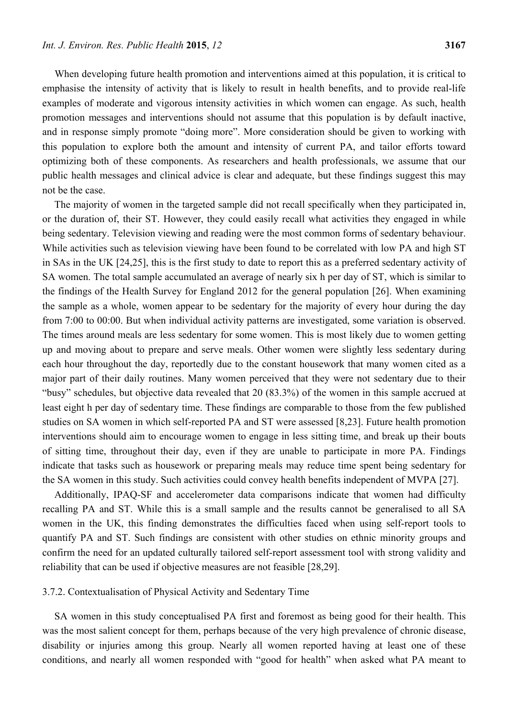When developing future health promotion and interventions aimed at this population, it is critical to emphasise the intensity of activity that is likely to result in health benefits, and to provide real-life examples of moderate and vigorous intensity activities in which women can engage. As such, health promotion messages and interventions should not assume that this population is by default inactive, and in response simply promote "doing more". More consideration should be given to working with this population to explore both the amount and intensity of current PA, and tailor efforts toward optimizing both of these components. As researchers and health professionals, we assume that our public health messages and clinical advice is clear and adequate, but these findings suggest this may not be the case.

The majority of women in the targeted sample did not recall specifically when they participated in, or the duration of, their ST. However, they could easily recall what activities they engaged in while being sedentary. Television viewing and reading were the most common forms of sedentary behaviour. While activities such as television viewing have been found to be correlated with low PA and high ST in SAs in the UK [24,25], this is the first study to date to report this as a preferred sedentary activity of SA women. The total sample accumulated an average of nearly six h per day of ST, which is similar to the findings of the Health Survey for England 2012 for the general population [26]. When examining the sample as a whole, women appear to be sedentary for the majority of every hour during the day from 7:00 to 00:00. But when individual activity patterns are investigated, some variation is observed. The times around meals are less sedentary for some women. This is most likely due to women getting up and moving about to prepare and serve meals. Other women were slightly less sedentary during each hour throughout the day, reportedly due to the constant housework that many women cited as a major part of their daily routines. Many women perceived that they were not sedentary due to their "busy" schedules, but objective data revealed that 20 (83.3%) of the women in this sample accrued at least eight h per day of sedentary time. These findings are comparable to those from the few published studies on SA women in which self-reported PA and ST were assessed [8,23]. Future health promotion interventions should aim to encourage women to engage in less sitting time, and break up their bouts of sitting time, throughout their day, even if they are unable to participate in more PA. Findings indicate that tasks such as housework or preparing meals may reduce time spent being sedentary for the SA women in this study. Such activities could convey health benefits independent of MVPA [27].

Additionally, IPAQ-SF and accelerometer data comparisons indicate that women had difficulty recalling PA and ST. While this is a small sample and the results cannot be generalised to all SA women in the UK, this finding demonstrates the difficulties faced when using self-report tools to quantify PA and ST. Such findings are consistent with other studies on ethnic minority groups and confirm the need for an updated culturally tailored self-report assessment tool with strong validity and reliability that can be used if objective measures are not feasible [28,29].

# 3.7.2. Contextualisation of Physical Activity and Sedentary Time

SA women in this study conceptualised PA first and foremost as being good for their health. This was the most salient concept for them, perhaps because of the very high prevalence of chronic disease, disability or injuries among this group. Nearly all women reported having at least one of these conditions, and nearly all women responded with "good for health" when asked what PA meant to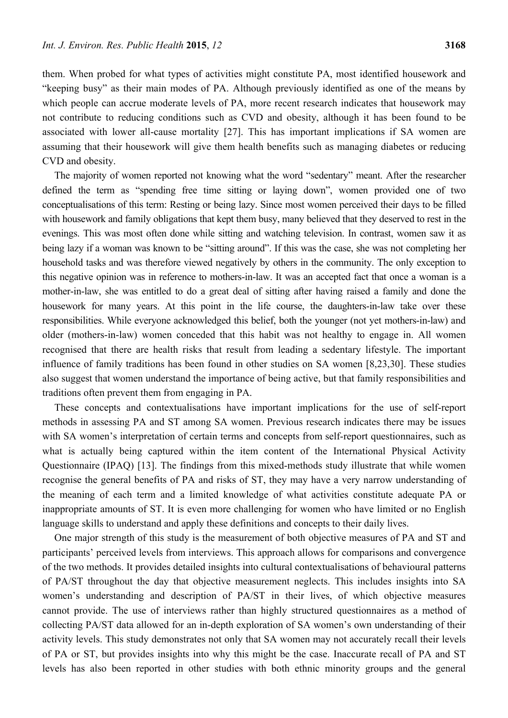them. When probed for what types of activities might constitute PA, most identified housework and "keeping busy" as their main modes of PA. Although previously identified as one of the means by which people can accrue moderate levels of PA, more recent research indicates that housework may not contribute to reducing conditions such as CVD and obesity, although it has been found to be associated with lower all-cause mortality [27]. This has important implications if SA women are assuming that their housework will give them health benefits such as managing diabetes or reducing CVD and obesity.

The majority of women reported not knowing what the word "sedentary" meant. After the researcher defined the term as "spending free time sitting or laying down", women provided one of two conceptualisations of this term: Resting or being lazy. Since most women perceived their days to be filled with housework and family obligations that kept them busy, many believed that they deserved to rest in the evenings. This was most often done while sitting and watching television. In contrast, women saw it as being lazy if a woman was known to be "sitting around". If this was the case, she was not completing her household tasks and was therefore viewed negatively by others in the community. The only exception to this negative opinion was in reference to mothers-in-law. It was an accepted fact that once a woman is a mother-in-law, she was entitled to do a great deal of sitting after having raised a family and done the housework for many years. At this point in the life course, the daughters-in-law take over these responsibilities. While everyone acknowledged this belief, both the younger (not yet mothers-in-law) and older (mothers-in-law) women conceded that this habit was not healthy to engage in. All women recognised that there are health risks that result from leading a sedentary lifestyle. The important influence of family traditions has been found in other studies on SA women [8,23,30]. These studies also suggest that women understand the importance of being active, but that family responsibilities and traditions often prevent them from engaging in PA.

These concepts and contextualisations have important implications for the use of self-report methods in assessing PA and ST among SA women. Previous research indicates there may be issues with SA women's interpretation of certain terms and concepts from self-report questionnaires, such as what is actually being captured within the item content of the International Physical Activity Questionnaire (IPAQ) [13]. The findings from this mixed-methods study illustrate that while women recognise the general benefits of PA and risks of ST, they may have a very narrow understanding of the meaning of each term and a limited knowledge of what activities constitute adequate PA or inappropriate amounts of ST. It is even more challenging for women who have limited or no English language skills to understand and apply these definitions and concepts to their daily lives.

One major strength of this study is the measurement of both objective measures of PA and ST and participants' perceived levels from interviews. This approach allows for comparisons and convergence of the two methods. It provides detailed insights into cultural contextualisations of behavioural patterns of PA/ST throughout the day that objective measurement neglects. This includes insights into SA women's understanding and description of PA/ST in their lives, of which objective measures cannot provide. The use of interviews rather than highly structured questionnaires as a method of collecting PA/ST data allowed for an in-depth exploration of SA women's own understanding of their activity levels. This study demonstrates not only that SA women may not accurately recall their levels of PA or ST, but provides insights into why this might be the case. Inaccurate recall of PA and ST levels has also been reported in other studies with both ethnic minority groups and the general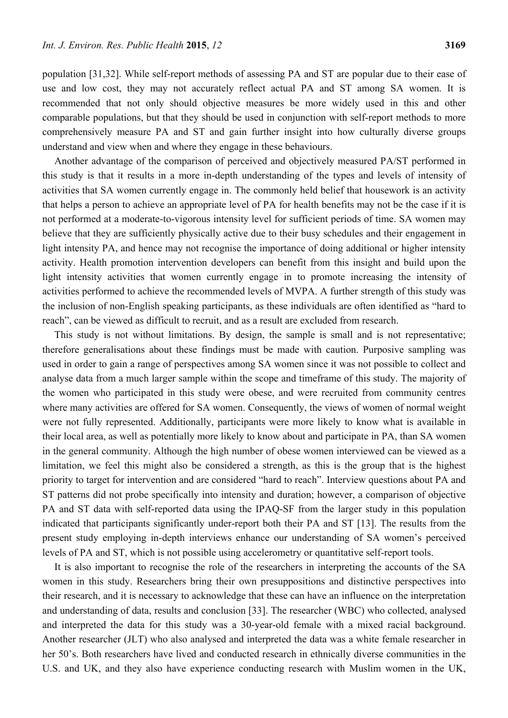population [31,32]. While self-report methods of assessing PA and ST are popular due to their ease of use and low cost, they may not accurately reflect actual PA and ST among SA women. It is recommended that not only should objective measures be more widely used in this and other comparable populations, but that they should be used in conjunction with self-report methods to more comprehensively measure PA and ST and gain further insight into how culturally diverse groups understand and view when and where they engage in these behaviours.

Another advantage of the comparison of perceived and objectively measured PA/ST performed in this study is that it results in a more in-depth understanding of the types and levels of intensity of activities that SA women currently engage in. The commonly held belief that housework is an activity that helps a person to achieve an appropriate level of PA for health benefits may not be the case if it is not performed at a moderate-to-vigorous intensity level for sufficient periods of time. SA women may believe that they are sufficiently physically active due to their busy schedules and their engagement in light intensity PA, and hence may not recognise the importance of doing additional or higher intensity activity. Health promotion intervention developers can benefit from this insight and build upon the light intensity activities that women currently engage in to promote increasing the intensity of activities performed to achieve the recommended levels of MVPA. A further strength of this study was the inclusion of non-English speaking participants, as these individuals are often identified as "hard to reach", can be viewed as difficult to recruit, and as a result are excluded from research.

This study is not without limitations. By design, the sample is small and is not representative; therefore generalisations about these findings must be made with caution. Purposive sampling was used in order to gain a range of perspectives among SA women since it was not possible to collect and analyse data from a much larger sample within the scope and timeframe of this study. The majority of the women who participated in this study were obese, and were recruited from community centres where many activities are offered for SA women. Consequently, the views of women of normal weight were not fully represented. Additionally, participants were more likely to know what is available in their local area, as well as potentially more likely to know about and participate in PA, than SA women in the general community. Although the high number of obese women interviewed can be viewed as a limitation, we feel this might also be considered a strength, as this is the group that is the highest priority to target for intervention and are considered "hard to reach". Interview questions about PA and ST patterns did not probe specifically into intensity and duration; however, a comparison of objective PA and ST data with self-reported data using the IPAQ-SF from the larger study in this population indicated that participants significantly under-report both their PA and ST [13]. The results from the present study employing in-depth interviews enhance our understanding of SA women's perceived levels of PA and ST, which is not possible using accelerometry or quantitative self-report tools.

It is also important to recognise the role of the researchers in interpreting the accounts of the SA women in this study. Researchers bring their own presuppositions and distinctive perspectives into their research, and it is necessary to acknowledge that these can have an influence on the interpretation and understanding of data, results and conclusion [33]. The researcher (WBC) who collected, analysed and interpreted the data for this study was a 30-year-old female with a mixed racial background. Another researcher (JLT) who also analysed and interpreted the data was a white female researcher in her 50's. Both researchers have lived and conducted research in ethnically diverse communities in the U.S. and UK, and they also have experience conducting research with Muslim women in the UK,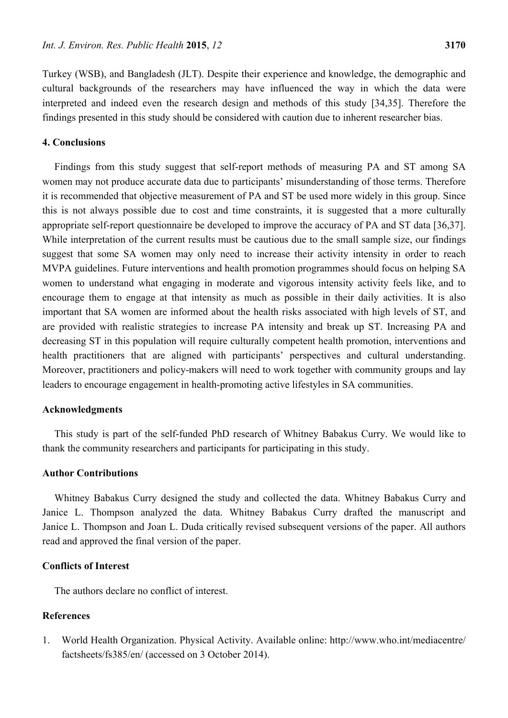Turkey (WSB), and Bangladesh (JLT). Despite their experience and knowledge, the demographic and cultural backgrounds of the researchers may have influenced the way in which the data were interpreted and indeed even the research design and methods of this study [34,35]. Therefore the findings presented in this study should be considered with caution due to inherent researcher bias.

## **4. Conclusions**

Findings from this study suggest that self-report methods of measuring PA and ST among SA women may not produce accurate data due to participants' misunderstanding of those terms. Therefore it is recommended that objective measurement of PA and ST be used more widely in this group. Since this is not always possible due to cost and time constraints, it is suggested that a more culturally appropriate self-report questionnaire be developed to improve the accuracy of PA and ST data [36,37]. While interpretation of the current results must be cautious due to the small sample size, our findings suggest that some SA women may only need to increase their activity intensity in order to reach MVPA guidelines. Future interventions and health promotion programmes should focus on helping SA women to understand what engaging in moderate and vigorous intensity activity feels like, and to encourage them to engage at that intensity as much as possible in their daily activities. It is also important that SA women are informed about the health risks associated with high levels of ST, and are provided with realistic strategies to increase PA intensity and break up ST. Increasing PA and decreasing ST in this population will require culturally competent health promotion, interventions and health practitioners that are aligned with participants' perspectives and cultural understanding. Moreover, practitioners and policy-makers will need to work together with community groups and lay leaders to encourage engagement in health-promoting active lifestyles in SA communities.

## **Acknowledgments**

This study is part of the self-funded PhD research of Whitney Babakus Curry. We would like to thank the community researchers and participants for participating in this study.

## **Author Contributions**

Whitney Babakus Curry designed the study and collected the data. Whitney Babakus Curry and Janice L. Thompson analyzed the data. Whitney Babakus Curry drafted the manuscript and Janice L. Thompson and Joan L. Duda critically revised subsequent versions of the paper. All authors read and approved the final version of the paper.

# **Conflicts of Interest**

The authors declare no conflict of interest.

# **References**

1. World Health Organization. Physical Activity. Available online: http://www.who.int/mediacentre/ factsheets/fs385/en/ (accessed on 3 October 2014).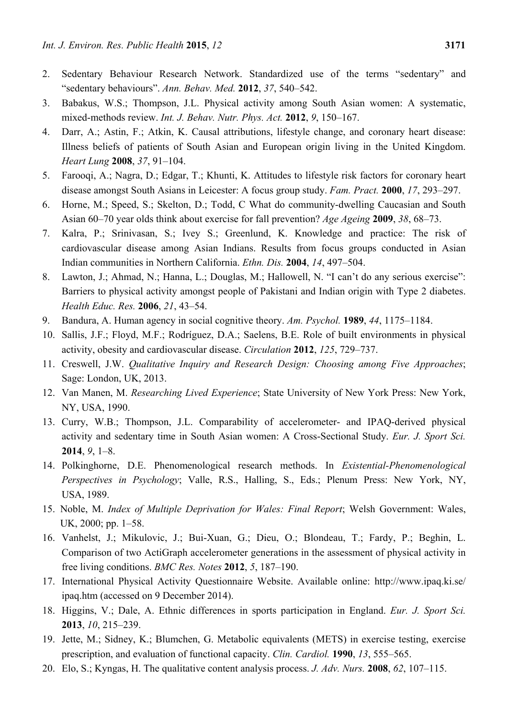- 2. Sedentary Behaviour Research Network. Standardized use of the terms "sedentary" and "sedentary behaviours". *Ann. Behav. Med.* **2012**, *37*, 540–542.
- 3. Babakus, W.S.; Thompson, J.L. Physical activity among South Asian women: A systematic, mixed-methods review. *Int. J. Behav. Nutr. Phys. Act.* **2012**, *9*, 150–167.
- 4. Darr, A.; Astin, F.; Atkin, K. Causal attributions, lifestyle change, and coronary heart disease: Illness beliefs of patients of South Asian and European origin living in the United Kingdom. *Heart Lung* **2008**, *37*, 91–104.
- 5. Farooqi, A.; Nagra, D.; Edgar, T.; Khunti, K. Attitudes to lifestyle risk factors for coronary heart disease amongst South Asians in Leicester: A focus group study. *Fam. Pract.* **2000**, *17*, 293–297.
- 6. Horne, M.; Speed, S.; Skelton, D.; Todd, C What do community-dwelling Caucasian and South Asian 60–70 year olds think about exercise for fall prevention? *Age Ageing* **2009**, *38*, 68–73.
- 7. Kalra, P.; Srinivasan, S.; Ivey S.; Greenlund, K. Knowledge and practice: The risk of cardiovascular disease among Asian Indians. Results from focus groups conducted in Asian Indian communities in Northern California. *Ethn. Dis.* **2004**, *14*, 497–504.
- 8. Lawton, J.; Ahmad, N.; Hanna, L.; Douglas, M.; Hallowell, N. "I can't do any serious exercise": Barriers to physical activity amongst people of Pakistani and Indian origin with Type 2 diabetes. *Health Educ. Res.* **2006**, *21*, 43–54.
- 9. Bandura, A. Human agency in social cognitive theory. *Am. Psychol.* **1989**, *44*, 1175–1184.
- 10. Sallis, J.F.; Floyd, M.F.; Rodríguez, D.A.; Saelens, B.E. Role of built environments in physical activity, obesity and cardiovascular disease. *Circulation* **2012**, *125*, 729–737.
- 11. Creswell, J.W. *Qualitative Inquiry and Research Design: Choosing among Five Approaches*; Sage: London, UK, 2013.
- 12. Van Manen, M. *Researching Lived Experience*; State University of New York Press: New York, NY, USA, 1990.
- 13. Curry, W.B.; Thompson, J.L. Comparability of accelerometer- and IPAQ-derived physical activity and sedentary time in South Asian women: A Cross-Sectional Study. *Eur. J. Sport Sci.* **2014**, *9*, 1–8.
- 14. Polkinghorne, D.E. Phenomenological research methods. In *Existential-Phenomenological Perspectives in Psychology*; Valle, R.S., Halling, S., Eds.; Plenum Press: New York, NY, USA, 1989.
- 15. Noble, M. *Index of Multiple Deprivation for Wales: Final Report*; Welsh Government: Wales, UK, 2000; pp. 1–58.
- 16. Vanhelst, J.; Mikulovic, J.; Bui-Xuan, G.; Dieu, O.; Blondeau, T.; Fardy, P.; Beghin, L. Comparison of two ActiGraph accelerometer generations in the assessment of physical activity in free living conditions. *BMC Res. Notes* **2012**, *5*, 187–190.
- 17. International Physical Activity Questionnaire Website. Available online: http://www.ipaq.ki.se/ ipaq.htm (accessed on 9 December 2014).
- 18. Higgins, V.; Dale, A. Ethnic differences in sports participation in England. *Eur. J. Sport Sci.* **2013**, *10*, 215–239.
- 19. Jette, M.; Sidney, K.; Blumchen, G. Metabolic equivalents (METS) in exercise testing, exercise prescription, and evaluation of functional capacity. *Clin. Cardiol.* **1990**, *13*, 555–565.
- 20. Elo, S.; Kyngas, H. The qualitative content analysis process. *J. Adv. Nurs.* **2008**, *62*, 107–115.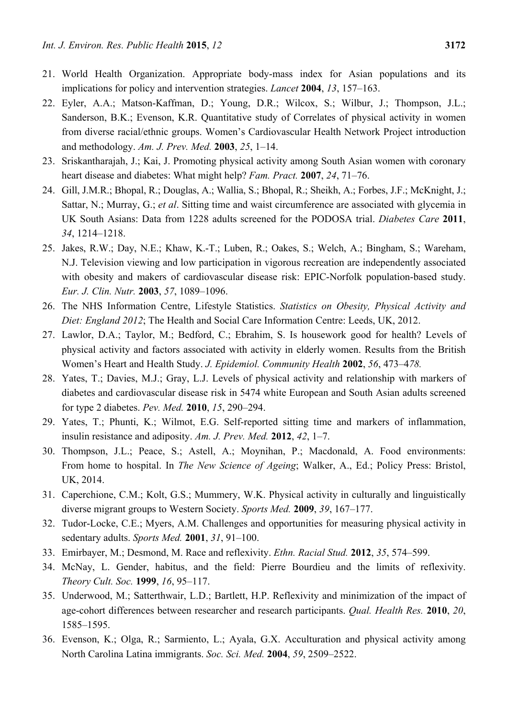- 21. World Health Organization. Appropriate body-mass index for Asian populations and its implications for policy and intervention strategies. *Lancet* **2004**, *13*, 157–163.
- 22. Eyler, A.A.; Matson-Kaffman, D.; Young, D.R.; Wilcox, S.; Wilbur, J.; Thompson, J.L.; Sanderson, B.K.; Evenson, K.R. Quantitative study of Correlates of physical activity in women from diverse racial/ethnic groups. Women's Cardiovascular Health Network Project introduction and methodology. *Am. J. Prev. Med.* **2003**, *25*, 1–14.
- 23. Sriskantharajah, J.; Kai, J. Promoting physical activity among South Asian women with coronary heart disease and diabetes: What might help? *Fam. Pract.* **2007**, *24*, 71–76.
- 24. Gill, J.M.R.; Bhopal, R.; Douglas, A.; Wallia, S.; Bhopal, R.; Sheikh, A.; Forbes, J.F.; McKnight, J.; Sattar, N.; Murray, G.; *et al*. Sitting time and waist circumference are associated with glycemia in UK South Asians: Data from 1228 adults screened for the PODOSA trial. *Diabetes Care* **2011**, *34*, 1214–1218.
- 25. Jakes, R.W.; Day, N.E.; Khaw, K.-T.; Luben, R.; Oakes, S.; Welch, A.; Bingham, S.; Wareham, N.J. Television viewing and low participation in vigorous recreation are independently associated with obesity and makers of cardiovascular disease risk: EPIC-Norfolk population-based study. *Eur. J. Clin. Nutr.* **2003**, *57*, 1089–1096.
- 26. The NHS Information Centre, Lifestyle Statistics. *Statistics on Obesity, Physical Activity and Diet: England 2012*; The Health and Social Care Information Centre: Leeds, UK, 2012.
- 27. Lawlor, D.A.; Taylor, M.; Bedford, C.; Ebrahim, S. Is housework good for health? Levels of physical activity and factors associated with activity in elderly women. Results from the British Women's Heart and Health Study. *J. Epidemiol. Community Health* **2002**, *56*, 473–4*78.*
- 28. Yates, T.; Davies, M.J.; Gray, L.J. Levels of physical activity and relationship with markers of diabetes and cardiovascular disease risk in 5474 white European and South Asian adults screened for type 2 diabetes. *Pev. Med.* **2010**, *15*, 290–294.
- 29. Yates, T.; Phunti, K.; Wilmot, E.G. Self-reported sitting time and markers of inflammation, insulin resistance and adiposity. *Am. J. Prev. Med.* **2012**, *42*, 1–7.
- 30. Thompson, J.L.; Peace, S.; Astell, A.; Moynihan, P.; Macdonald, A. Food environments: From home to hospital. In *The New Science of Ageing*; Walker, A., Ed.; Policy Press: Bristol, UK, 2014.
- 31. Caperchione, C.M.; Kolt, G.S.; Mummery, W.K. Physical activity in culturally and linguistically diverse migrant groups to Western Society. *Sports Med.* **2009**, *39*, 167–177.
- 32. Tudor-Locke, C.E.; Myers, A.M. Challenges and opportunities for measuring physical activity in sedentary adults. *Sports Med.* **2001**, *31*, 91–100.
- 33. Emirbayer, M.; Desmond, M. Race and reflexivity. *Ethn. Racial Stud.* **2012**, *35*, 574–599.
- 34. McNay, L. Gender, habitus, and the field: Pierre Bourdieu and the limits of reflexivity. *Theory Cult. Soc.* **1999**, *16*, 95–117.
- 35. Underwood, M.; Satterthwair, L.D.; Bartlett, H.P. Reflexivity and minimization of the impact of age-cohort differences between researcher and research participants. *Qual. Health Res.* **2010**, *20*, 1585–1595.
- 36. Evenson, K.; Olga, R.; Sarmiento, L.; Ayala, G.X. Acculturation and physical activity among North Carolina Latina immigrants. *Soc. Sci. Med.* **2004**, *59*, 2509–2522.